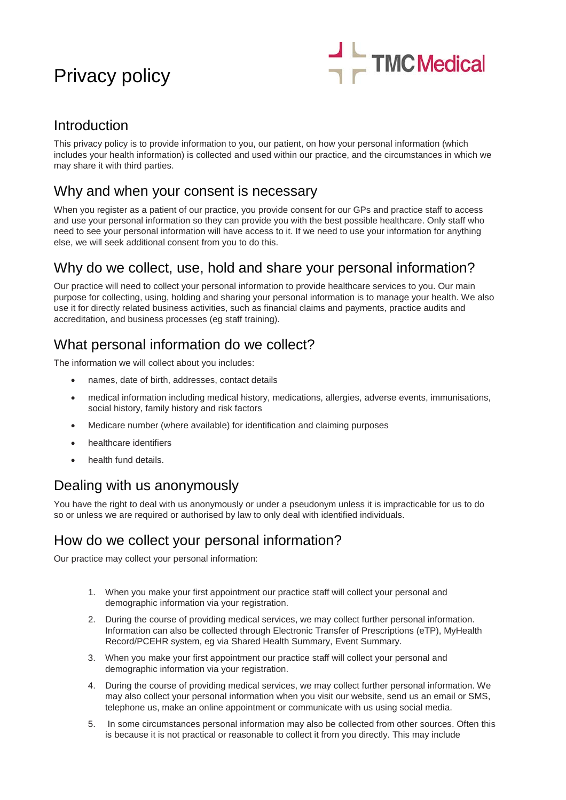# Privacy policy



### Introduction

This privacy policy is to provide information to you, our patient, on how your personal information (which includes your health information) is collected and used within our practice, and the circumstances in which we may share it with third parties.

### Why and when your consent is necessary

When you register as a patient of our practice, you provide consent for our GPs and practice staff to access and use your personal information so they can provide you with the best possible healthcare. Only staff who need to see your personal information will have access to it. If we need to use your information for anything else, we will seek additional consent from you to do this.

### Why do we collect, use, hold and share your personal information?

Our practice will need to collect your personal information to provide healthcare services to you. Our main purpose for collecting, using, holding and sharing your personal information is to manage your health. We also use it for directly related business activities, such as financial claims and payments, practice audits and accreditation, and business processes (eg staff training).

### What personal information do we collect?

The information we will collect about you includes:

- names, date of birth, addresses, contact details
- medical information including medical history, medications, allergies, adverse events, immunisations, social history, family history and risk factors
- Medicare number (where available) for identification and claiming purposes
- healthcare identifiers
- health fund details.

### Dealing with us anonymously

You have the right to deal with us anonymously or under a pseudonym unless it is impracticable for us to do so or unless we are required or authorised by law to only deal with identified individuals.

### How do we collect your personal information?

Our practice may collect your personal information:

- 1. When you make your first appointment our practice staff will collect your personal and demographic information via your registration.
- 2. During the course of providing medical services, we may collect further personal information. Information can also be collected through Electronic Transfer of Prescriptions (eTP), MyHealth Record/PCEHR system, eg via Shared Health Summary, Event Summary.
- 3. When you make your first appointment our practice staff will collect your personal and demographic information via your registration.
- 4. During the course of providing medical services, we may collect further personal information. We may also collect your personal information when you visit our website, send us an email or SMS, telephone us, make an online appointment or communicate with us using social media.
- 5. In some circumstances personal information may also be collected from other sources. Often this is because it is not practical or reasonable to collect it from you directly. This may include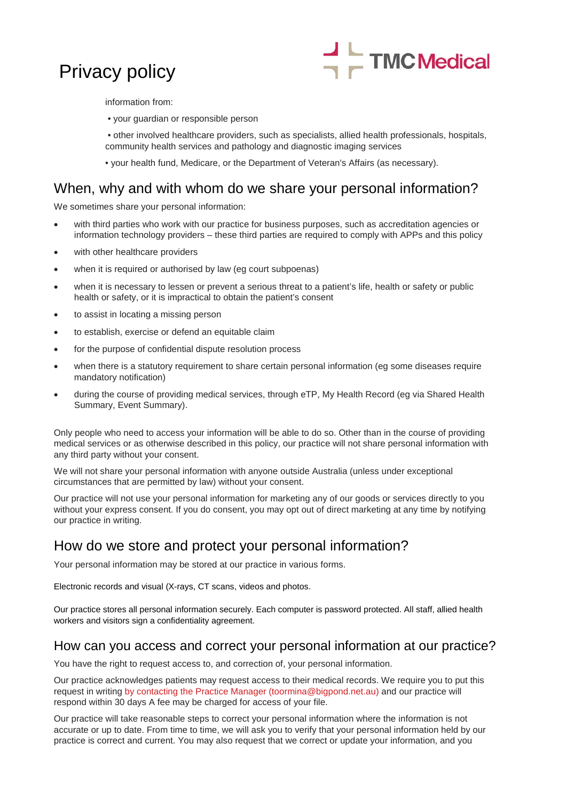## Privacy policy



information from:

• your guardian or responsible person

• other involved healthcare providers, such as specialists, allied health professionals, hospitals, community health services and pathology and diagnostic imaging services

• your health fund, Medicare, or the Department of Veteran's Affairs (as necessary).

#### When, why and with whom do we share your personal information?

We sometimes share your personal information:

- with third parties who work with our practice for business purposes, such as accreditation agencies or information technology providers – these third parties are required to comply with APPs and this policy
- with other healthcare providers
- when it is required or authorised by law (eq court subpoenas)
- when it is necessary to lessen or prevent a serious threat to a patient's life, health or safety or public health or safety, or it is impractical to obtain the patient's consent
- to assist in locating a missing person
- to establish, exercise or defend an equitable claim
- for the purpose of confidential dispute resolution process
- when there is a statutory requirement to share certain personal information (eg some diseases require mandatory notification)
- during the course of providing medical services, through eTP, My Health Record (eg via Shared Health Summary, Event Summary).

Only people who need to access your information will be able to do so. Other than in the course of providing medical services or as otherwise described in this policy, our practice will not share personal information with any third party without your consent.

We will not share your personal information with anyone outside Australia (unless under exceptional circumstances that are permitted by law) without your consent.

Our practice will not use your personal information for marketing any of our goods or services directly to you without your express consent. If you do consent, you may opt out of direct marketing at any time by notifying our practice in writing.

### How do we store and protect your personal information?

Your personal information may be stored at our practice in various forms.

Electronic records and visual (X-rays, CT scans, videos and photos.

Our practice stores all personal information securely. Each computer is password protected. All staff, allied health workers and visitors sign a confidentiality agreement.

#### How can you access and correct your personal information at our practice?

You have the right to request access to, and correction of, your personal information.

Our practice acknowledges patients may request access to their medical records. We require you to put this request in writing by contacting the Practice Manager (toormina@bigpond.net.au) and our practice will respond within 30 days A fee may be charged for access of your file.

Our practice will take reasonable steps to correct your personal information where the information is not accurate or up to date. From time to time, we will ask you to verify that your personal information held by our practice is correct and current. You may also request that we correct or update your information, and you